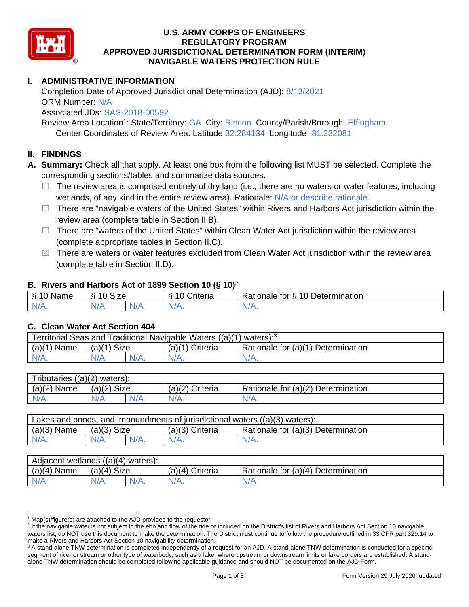

### **U.S. ARMY CORPS OF ENGINEERS REGULATORY PROGRAM APPROVED JURISDICTIONAL DETERMINATION FORM (INTERIM) NAVIGABLE WATERS PROTECTION RULE**

## **I. ADMINISTRATIVE INFORMATION**

Completion Date of Approved Jurisdictional Determination (AJD): 8/13/2021 ORM Number: N/A Associated JDs: SAS-2018-00592

 Center Coordinates of Review Area: Latitude 32.284134 Longitude -81.232081 Review Area Location<sup>1</sup>: State/Territory: GA City: Rincon County/Parish/Borough: Effingham

#### **II. FINDINGS**

- **A. Summary:** Check all that apply. At least one box from the following list MUST be selected. Complete the corresponding sections/tables and summarize data sources.
	- $\Box$  The review area is comprised entirely of dry land (i.e., there are no waters or water features, including wetlands, of any kind in the entire review area). Rationale: N/A or describe rationale.
	- review area (complete table in Section II.B).  $\Box$  There are "navigable waters of the United States" within Rivers and Harbors Act jurisdiction within the
	- (complete appropriate tables in Section II.C). ☐ There are "waters of the United States" within Clean Water Act jurisdiction within the review area
	- $\boxtimes$  There are waters or water features excluded from Clean Water Act jurisdiction within the review area (complete table in Section II.D).

#### **B. Rivers and Harbors Act of 1899 Section 10 (§ 10)**<sup>2</sup>

| $\sim$<br>$\sim$<br>$-$<br>⇘<br>wanie<br>U | $\ddot{\phantom{1}}$<br>$\Lambda$<br>Size<br>ш. |     | -<br>$\overline{\phantom{a}}$<br>;riteria | $\overline{\phantom{0}}$<br>-<br>$\overline{A}$<br><b>Determination</b><br>tor<br>≺ationale<br><u>ب</u><br>. . |
|--------------------------------------------|-------------------------------------------------|-----|-------------------------------------------|----------------------------------------------------------------------------------------------------------------|
| N/L                                        | AU.                                             | 111 | $\mathbf{v}$                              | W.                                                                                                             |
| INAT.                                      | 17 / TV .                                       | N/r |                                           | $\mathbf{v}$                                                                                                   |

#### **C. Clean Water Act Section 404**

| Territorial Seas and Traditional Navigable Waters ((a)(1) waters): <sup>3</sup> |               |  |                 |                                    |  |
|---------------------------------------------------------------------------------|---------------|--|-----------------|------------------------------------|--|
| $(a)(1)$ Name                                                                   | $(a)(1)$ Size |  | (a)(1) Criteria | Rationale for (a)(1) Determination |  |
| $N/A$ .                                                                         | $N/A$ .       |  | $N/A$ .         | $N/A$ .                            |  |
|                                                                                 |               |  |                 |                                    |  |

| Tributaries $((a)(2)$ waters): |               |         |                 |                                    |  |
|--------------------------------|---------------|---------|-----------------|------------------------------------|--|
| $(a)(2)$ Name                  | $(a)(2)$ Size |         | (a)(2) Criteria | Rationale for (a)(2) Determination |  |
| $N/A$ .                        | $N/A$ .       | $N/A$ . | $N/A$ .         | $N/A$ .                            |  |
|                                |               |         |                 |                                    |  |

| $(a)(3)$ Name<br>Rationale for (a)(3) Determination<br>$(a)(3)$ Size<br>$(a)(3)$ Criteria | Lakes and ponds, and impoundments of jurisdictional waters $((a)(3)$ waters): |         |         |         |         |  |
|-------------------------------------------------------------------------------------------|-------------------------------------------------------------------------------|---------|---------|---------|---------|--|
|                                                                                           |                                                                               |         |         |         |         |  |
|                                                                                           | $N/A$ .                                                                       | $N/A$ . | $N/A$ . | $N/A$ . | $N/A$ . |  |

| Adjacent wetlands ((a)(4) waters): |               |         |                   |                                    |  |
|------------------------------------|---------------|---------|-------------------|------------------------------------|--|
| $(a)(4)$ Name                      | $(a)(4)$ Size |         | $(a)(4)$ Criteria | Rationale for (a)(4) Determination |  |
| N/A                                | N/A           | $N/A$ . |                   | N/A                                |  |
|                                    |               |         |                   |                                    |  |

<sup>&</sup>lt;sup>1</sup> Map(s)/figure(s) are attached to the AJD provided to the requestor.

<sup>&</sup>lt;sup>2</sup> If the navigable water is not subject to the ebb and flow of the tide or included on the District's list of Rivers and Harbors Act Section 10 navigable waters list, do NOT use this document to make the determination. The District must continue to follow the procedure outlined in 33 CFR part 329.14 to make a Rivers and Harbors Act Section 10 navigability determination.

<sup>&</sup>lt;sup>3</sup> A stand-alone TNW determination is completed independently of a request for an AJD. A stand-alone TNW determination is conducted for a specific segment of river or stream or other type of waterbody, such as a lake, where upstream or downstream limits or lake borders are established. A standalone TNW determination should be completed following applicable guidance and should NOT be documented on the AJD Form.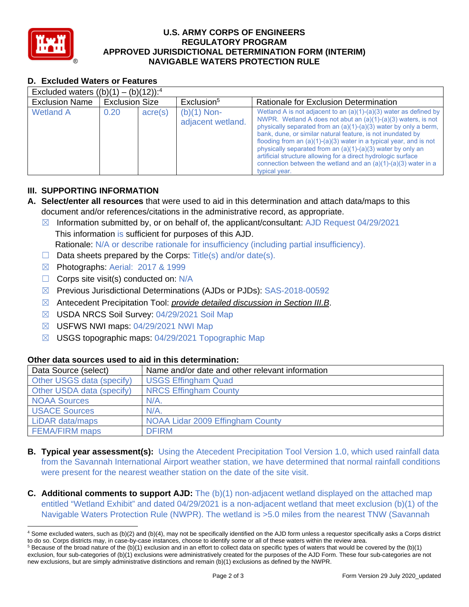

### **U.S. ARMY CORPS OF ENGINEERS REGULATORY PROGRAM APPROVED JURISDICTIONAL DETERMINATION FORM (INTERIM) NAVIGABLE WATERS PROTECTION RULE**

## **D. Excluded Waters or Features**

| Excluded waters $((b)(1) - (b)(12))$ : <sup>4</sup> |                       |         |                                    |                                                                                                                                                                                                                                                                                                                                                                                                                                                                                                                                                                        |  |  |
|-----------------------------------------------------|-----------------------|---------|------------------------------------|------------------------------------------------------------------------------------------------------------------------------------------------------------------------------------------------------------------------------------------------------------------------------------------------------------------------------------------------------------------------------------------------------------------------------------------------------------------------------------------------------------------------------------------------------------------------|--|--|
| <b>Exclusion Name</b>                               | <b>Exclusion Size</b> |         | Exclusion <sup>5</sup>             | Rationale for Exclusion Determination                                                                                                                                                                                                                                                                                                                                                                                                                                                                                                                                  |  |  |
| <b>Wetland A</b>                                    | 0.20                  | acre(s) | $(b)(1)$ Non-<br>adjacent wetland. | Wetland A is not adjacent to an $(a)(1)-(a)(3)$ water as defined by<br>NWPR. Wetland A does not abut an (a)(1)-(a)(3) waters, is not<br>physically separated from an (a)(1)-(a)(3) water by only a berm,<br>bank, dune, or similar natural feature, is not inundated by<br>flooding from an $(a)(1)-(a)(3)$ water in a typical year, and is not<br>physically separated from an $(a)(1)-(a)(3)$ water by only an<br>artificial structure allowing for a direct hydrologic surface<br>connection between the wetland and an $(a)(1)-(a)(3)$ water in a<br>typical year. |  |  |

### **III. SUPPORTING INFORMATION**

- **A. Select/enter all resources** that were used to aid in this determination and attach data/maps to this document and/or references/citations in the administrative record, as appropriate.
	- $\boxtimes$  Information submitted by, or on behalf of, the applicant/consultant: AJD Request 04/29/2021 This information is sufficient for purposes of this AJD. Rationale: N/A or describe rationale for insufficiency (including partial insufficiency).
	- $\Box$  Data sheets prepared by the Corps: Title(s) and/or date(s).
	- ☒ Photographs: Aerial: 2017 & 1999
	- $\Box$  Corps site visit(s) conducted on: N/A
	- ☒ Previous Jurisdictional Determinations (AJDs or PJDs): SAS-2018-00592
	- ☒ Antecedent Precipitation Tool: *provide detailed discussion in Section III.B*.
	- ☒ USDA NRCS Soil Survey: 04/29/2021 Soil Map
	- ☒ USFWS NWI maps: 04/29/2021 NWI Map
	- ☒ USGS topographic maps: 04/29/2021 Topographic Map

# **Other data sources used to aid in this determination:**

| Data Source (select)      | Name and/or date and other relevant information |
|---------------------------|-------------------------------------------------|
| Other USGS data (specify) | <b>USGS Effingham Quad</b>                      |
| Other USDA data (specify) | <b>NRCS Effingham County</b>                    |
| <b>NOAA Sources</b>       | $N/A$ .                                         |
| <b>USACE Sources</b>      | $N/A$ .                                         |
| LiDAR data/maps           | NOAA Lidar 2009 Effingham County                |
| <b>FEMA/FIRM maps</b>     | <b>DFIRM</b>                                    |

- **B. Typical year assessment(s):** Using the Atecedent Precipitation Tool Version 1.0, which used rainfall data from the Savannah International Airport weather station, we have determined that normal rainfall conditions were present for the nearest weather station on the date of the site visit.
- Navigable Waters Protection Rule (NWPR). The wetland is >5.0 miles from the nearest TNW (Savannah **C.** Additional comments to support AJD: The (b)(1) non-adjacent wetland displayed on the attached map entitled "Wetland Exhibit" and dated 04/29/2021 is a non-adjacent wetland that meet exclusion (b)(1) of the

<sup>4</sup> Some excluded waters, such as (b)(2) and (b)(4), may not be specifically identified on the AJD form unless a requestor specifically asks a Corps district to do so. Corps districts may, in case-by-case instances, choose to identify some or all of these waters within the review area.

 $5$  Because of the broad nature of the (b)(1) exclusion and in an effort to collect data on specific types of waters that would be covered by the (b)(1) exclusion, four sub-categories of (b)(1) exclusions were administratively created for the purposes of the AJD Form. These four sub-categories are not new exclusions, but are simply administrative distinctions and remain (b)(1) exclusions as defined by the NWPR.